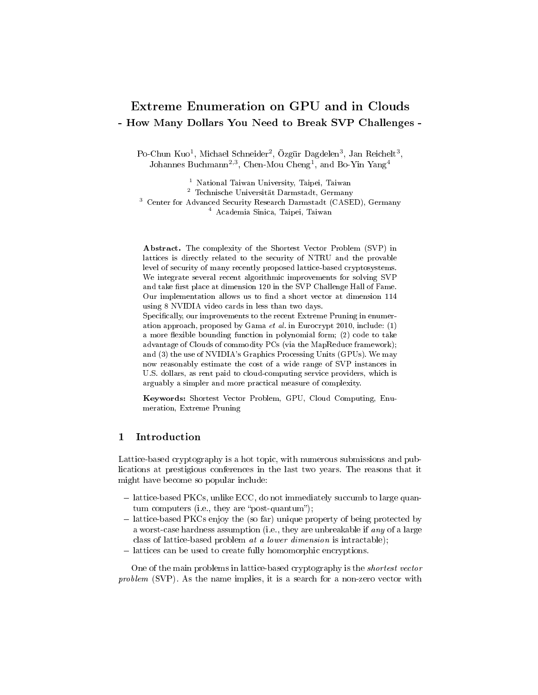# Extreme Enumeration on GPU and in Clouds - How Many Dollars You Need to Break SVP Challenges -

Po-Chun Kuo<sup>1</sup>, Michael Schneider<sup>2</sup>, Özgür Dagdelen<sup>3</sup>, Jan Reichelt<sup>3</sup>, Johannes Buchmann<sup>2,3</sup>, Chen-Mou Cheng<sup>1</sup>, and Bo-Yin Yang<sup>4</sup>

 National Taiwan University, Taipei, Taiwan Technische Universität Darmstadt, Germany Center for Advanced Security Research Darmstadt (CASED), Germany Academia Sinica, Taipei, Taiwan

Abstract. The complexity of the Shortest Vector Problem (SVP) in lattices is directly related to the security of NTRU and the provable level of security of many recently proposed lattice-based cryptosystems. We integrate several recent algorithmic improvements for solving SVP and take first place at dimension 120 in the SVP Challenge Hall of Fame. Our implementation allows us to find a short vector at dimension  $114$ using 8 NVIDIA video cards in less than two days.

Specifically, our improvements to the recent Extreme Pruning in enumeration approach, proposed by Gama et al. in Eurocrypt 2010, include: (1) a more flexible bounding function in polynomial form;  $(2)$  code to take advantage of Clouds of commodity PCs (via the MapReduce framework); and (3) the use of NVIDIA's Graphics Processing Units (GPUs). We may now reasonably estimate the cost of a wide range of SVP instances in U.S. dollars, as rent paid to cloud-computing service providers, which is arguably a simpler and more practical measure of complexity.

Keywords: Shortest Vector Problem, GPU, Cloud Computing, Enumeration, Extreme Pruning

### 1 Introduction

Lattice-based cryptography is a hot topic, with numerous submissions and publications at prestigious conferences in the last two years. The reasons that it might have become so popular include:

- $\sim$  lattice-based PKCs, unlike ECC, do not immediately succumb to large quantum computers (i.e., they are "post-quantum");
- lattice-based PKCs enjoy the (so far) unique property of being protected by a worst-case hardness assumption (i.e., they are unbreakable if any of a large class of lattice-based problem at a lower dimension is intractable);
- lattices can be used to create fully homomorphic encryptions.

One of the main problems in lattice-based cryptography is the shortest vector problem (SVP). As the name implies, it is a search for a non-zero vector with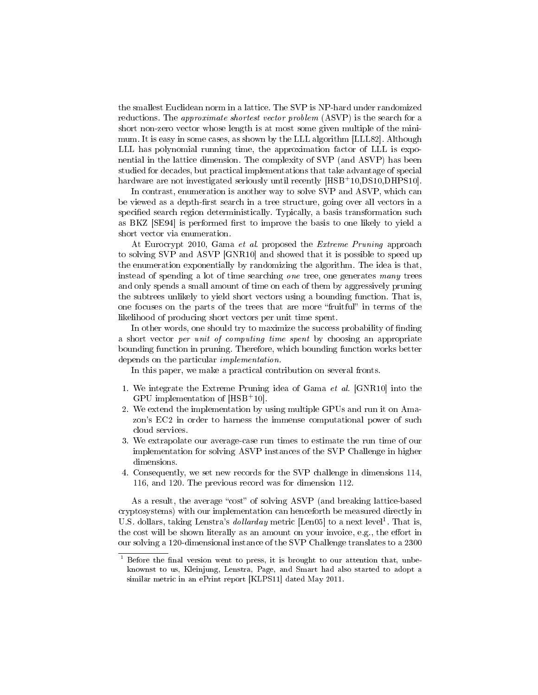the smallest Euclidean norm in a lattice. The SVP is NP-hard under randomized reductions. The *approximate shortest vector problem* (ASVP) is the search for a short non-zero vector whose length is at most some given multiple of the minimum. It is easy in some cases, as shown by the LLL algorithm [LLL82]. Although LLL has polynomial running time, the approximation factor of LLL is exponential in the lattice dimension. The complexity of SVP (and ASVP) has been studied for decades, but practical implementations that take advantage of special hardware are not investigated seriously until recently [HSB+10,DS10,DHPS10].

In contrast, enumeration is another way to solve SVP and ASVP, which can be viewed as a depth-first search in a tree structure, going over all vectors in a specified search region deterministically. Typically, a basis transformation such as BKZ [SE94] is performed first to improve the basis to one likely to yield a short vector via enumeration.

At Eurocrypt 2010, Gama et al. proposed the Extreme Pruning approach to solving SVP and ASVP [GNR10] and showed that it is possible to speed up the enumeration exponentially by randomizing the algorithm. The idea is that, instead of spending a lot of time searching one tree, one generates many trees and only spends a small amount of time on each of them by aggressively pruning the subtrees unlikely to yield short vectors using a bounding function. That is, one focuses on the parts of the trees that are more "fruitful" in terms of the likelihood of producing short vectors per unit time spent.

In other words, one should try to maximize the success probability of finding a short vector per unit of computing time spent by choosing an appropriate bounding function in pruning. Therefore, which bounding function works better depends on the particular implementation.

In this paper, we make a practical contribution on several fronts.

- 1. We integrate the Extreme Pruning idea of Gama et al. [GNR10] into the GPU implementation of [HSB<sup>+</sup>10].
- 2. We extend the implementation by using multiple GPUs and run it on Amazon's EC2 in order to harness the immense computational power of such cloud services.
- 3. We extrapolate our average-case run times to estimate the run time of our implementation for solving ASVP instances of the SVP Challenge in higher dimensions.
- 4. Consequently, we set new records for the SVP challenge in dimensions 114, 116, and 120. The previous record was for dimension 112.

As a result, the average "cost" of solving ASVP (and breaking lattice-based cryptosystems) with our implementation can henceforth be measured directly in U.S. dollars, taking Lenstra's *dollarday* metric [Len05] to a next level<sup>1</sup>. That is, the cost will be shown literally as an amount on your invoice, e.g., the effort in our solving a 120-dimensional instance of the SVP Challenge translates to a 2300

 $1$  Before the final version went to press, it is brought to our attention that, unbeknownst to us, Kleinjung, Lenstra, Page, and Smart had also started to adopt a similar metric in an ePrint report [KLPS11] dated May 2011.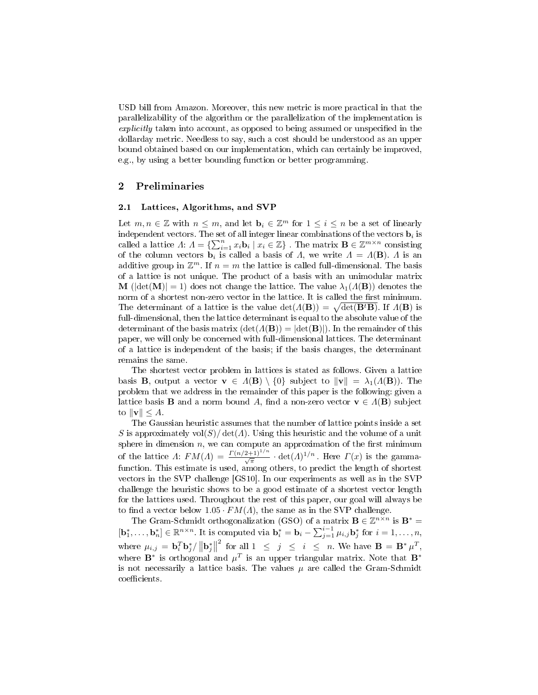USD bill from Amazon. Moreover, this new metric is more practical in that the parallelizability of the algorithm or the parallelization of the implementation is explicitly taken into account, as opposed to being assumed or unspecified in the dollarday metric. Needless to say, such a cost should be understood as an upper bound obtained based on our implementation, which can certainly be improved, e.g., by using a better bounding function or better programming.

### 2 Preliminaries

#### 2.1 Lattices, Algorithms, and SVP

Let  $m, n \in \mathbb{Z}$  with  $n \leq m$ , and let  $\mathbf{b}_i \in \mathbb{Z}^m$  for  $1 \leq i \leq n$  be a set of linearly independent vectors. The set of all integer linear combinations of the vectors  $\mathbf{b}_i$  is called a lattice  $\Lambda: \Lambda = \{\sum_{i=1}^n x_i \mathbf{b}_i \mid x_i \in \mathbb{Z}\}\.$  The matrix  $\mathbf{B} \in \mathbb{Z}^{m \times n}$  consisting of the column vectors  $\mathbf{b}_i$  is called a basis of  $\varLambda$ , we write  $\varLambda = \varLambda(\mathbf{B})$ .  $\varLambda$  is an additive group in  $\mathbb{Z}^m$ . If  $n=m$  the lattice is called full-dimensional. The basis of a lattice is not unique. The product of a basis with an unimodular matrix **M** ( $|\det(\mathbf{M})| = 1$ ) does not change the lattice. The value  $\lambda_1(A(\mathbf{B}))$  denotes the norm of a shortest non-zero vector in the lattice. It is called the first minimum. The determinant of a lattice is the value  $\det(A(\mathbf{B})) = \sqrt{\det(\mathbf{B}^t \mathbf{B})}$ . If  $\Lambda(\mathbf{B})$  is full-dimensional, then the lattice determinant is equal to the absolute value of the determinant of the basis matrix  $(\det(A(\mathbf{B})) = |\det(\mathbf{B})|)$ . In the remainder of this paper, we will only be concerned with full-dimensional lattices. The determinant of a lattice is independent of the basis; if the basis changes, the determinant remains the same.

The shortest vector problem in lattices is stated as follows. Given a lattice basis **B**, output a vector  $\mathbf{v} \in A(\mathbf{B}) \setminus \{0\}$  subject to  $\|\mathbf{v}\| = \lambda_1(A(\mathbf{B}))$ . The problem that we address in the remainder of this paper is the following: given a lattice basis **B** and a norm bound A, find a non-zero vector  $\mathbf{v} \in A(\mathbf{B})$  subject to  $\|\mathbf{v}\| \leq A$ .

The Gaussian heuristic assumes that the number of lattice points inside a set S is approximately  $vol(S)/det(A)$ . Using this heuristic and the volume of a unit sphere in dimension  $n$ , we can compute an approximation of the first minimum of the lattice  $\Lambda: FM(\Lambda) = \frac{\Gamma(n/2+1)^{1/n}}{\sqrt{\pi}} \cdot \det(\Lambda)^{1/n}$ . Here  $\Gamma(x)$  is the gammafunction. This estimate is used, among others, to predict the length of shortest vectors in the SVP challenge [GS10]. In our experiments as well as in the SVP challenge the heuristic shows to be a good estimate of a shortest vector length for the lattices used. Throughout the rest of this paper, our goal will always be to find a vector below  $1.05 \cdot FM(\Lambda)$ , the same as in the SVP challenge.

The Gram-Schmidt orthogonalization (GSO) of a matrix  $\mathbf{B} \in \mathbb{Z}^{n \times n}$  is  $\mathbf{B}^* =$  $[\mathbf{b}_1^*, \ldots, \mathbf{b}_n^*] \in \mathbb{R}^{n \times n}$ . It is computed via  $\mathbf{b}_i^* = \mathbf{b}_i - \sum_{j=1}^{i-1} \mu_{i,j} \mathbf{b}_j^*$  for  $i = 1, \ldots, n$ , where  $\mu_{i,j} = \mathbf{b}_i^T \mathbf{b}_j^* / ||\mathbf{b}_j^*||$ <sup>2</sup> for all  $1 \leq j \leq i \leq n$ . We have  $\mathbf{B} = \mathbf{B}^* \mu^T$ , where  $\mathbf{B}^{*}$  is orthogonal and  $\mu^{T}$  is an upper triangular matrix. Note that  $\mathbf{B}^{*}$ is not necessarily a lattice basis. The values  $\mu$  are called the Gram-Schmidt coefficients.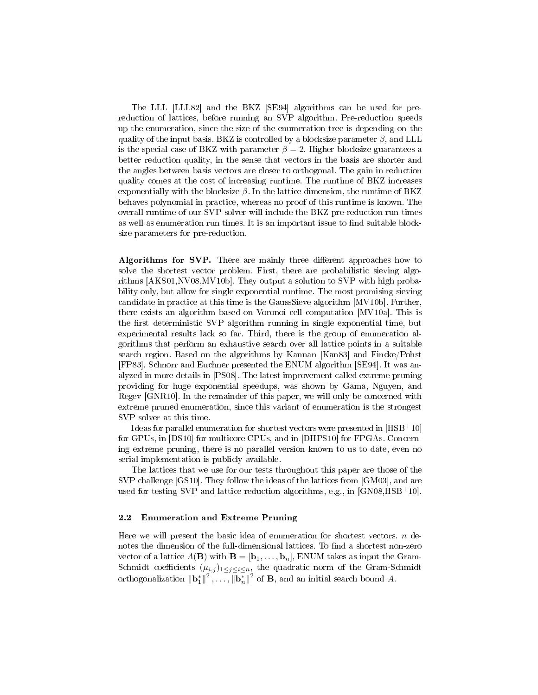The LLL [LLL82] and the BKZ [SE94] algorithms can be used for prereduction of lattices, before running an SVP algorithm. Pre-reduction speeds up the enumeration, since the size of the enumeration tree is depending on the quality of the input basis. BKZ is controlled by a blocksize parameter  $\beta$ , and LLL is the special case of BKZ with parameter  $\beta = 2$ . Higher blocksize guarantees a better reduction quality, in the sense that vectors in the basis are shorter and the angles between basis vectors are closer to orthogonal. The gain in reduction quality comes at the cost of increasing runtime. The runtime of BKZ increases exponentially with the blocksize  $\beta$ . In the lattice dimension, the runtime of BKZ behaves polynomial in practice, whereas no proof of this runtime is known. The overall runtime of our SVP solver will include the BKZ pre-reduction run times as well as enumeration run times. It is an important issue to find suitable blocksize parameters for pre-reduction.

Algorithms for SVP. There are mainly three different approaches how to solve the shortest vector problem. First, there are probabilistic sieving algorithms [AKS01,NV08,MV10b]. They output a solution to SVP with high probability only, but allow for single exponential runtime. The most promising sieving candidate in practice at this time is the GaussSieve algorithm [MV10b]. Further, there exists an algorithm based on Voronoi cell computation [MV10a]. This is the first deterministic SVP algorithm running in single exponential time, but experimental results lack so far. Third, there is the group of enumeration algorithms that perform an exhaustive search over all lattice points in a suitable search region. Based on the algorithms by Kannan [Kan83] and Fincke/Pohst [FP83], Schnorr and Euchner presented the ENUM algorithm [SE94]. It was analyzed in more details in [PS08]. The latest improvement called extreme pruning providing for huge exponential speedups, was shown by Gama, Nguyen, and Regev [GNR10]. In the remainder of this paper, we will only be concerned with extreme pruned enumeration, since this variant of enumeration is the strongest SVP solver at this time.

Ideas for parallel enumeration for shortest vectors were presented in [HSB<sup>+</sup>10] for GPUs, in [DS10] for multicore CPUs, and in [DHPS10] for FPGAs. Concerning extreme pruning, there is no parallel version known to us to date, even no serial implementation is publicly available.

The lattices that we use for our tests throughout this paper are those of the SVP challenge [GS10]. They follow the ideas of the lattices from [GM03], and are used for testing SVP and lattice reduction algorithms, e.g., in  $[GN08, HSB<sup>+</sup>10]$ .

### 2.2 Enumeration and Extreme Pruning

Here we will present the basic idea of enumeration for shortest vectors.  $n$  denotes the dimension of the full-dimensional lattices. To find a shortest non-zero vector of a lattice  $\Lambda(\mathbf{B})$  with  $\mathbf{B} = [\mathbf{b}_1, \ldots, \mathbf{b}_n]$ , ENUM takes as input the Gram-Schmidt coefficients  $(\mu_{i,j})_{1\leq j\leq i\leq n}$ , the quadratic norm of the Gram-Schmidt orthogonalization  $\|\mathbf{b}_1^*\|^2$ ,...,  $\|\mathbf{b}_n^*\|^2$  of  $\mathbf{B}$ , and an initial search bound A.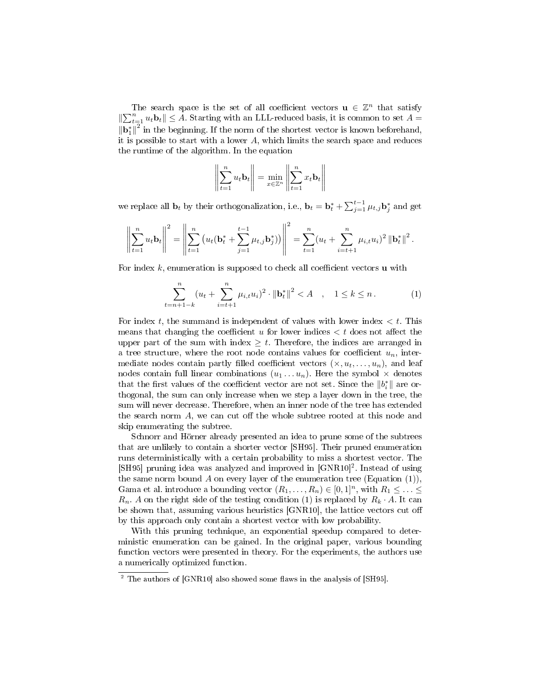The search space is the set of all coefficient vectors  $\mathbf{u} \in \mathbb{Z}^n$  that satisfy  $\|\sum_{t=1}^n u_t \mathbf{b}_t\| \leq A$ . Starting with an LLL-reduced basis, it is common to set  $A =$  $\|\mathbf{b}_1^*\|^2$  in the beginning. If the norm of the shortest vector is known beforehand, it is possible to start with a lower A, which limits the search space and reduces the runtime of the algorithm. In the equation

$$
\left\| \sum_{t=1}^n u_t \mathbf{b}_t \right\| = \min_{x \in \mathbb{Z}^n} \left\| \sum_{t=1}^n x_t \mathbf{b}_t \right\|
$$

we replace all  $\mathbf{b}_t$  by their orthogonalization, i.e.,  $\mathbf{b}_t = \mathbf{b}_t^* + \sum_{j=1}^{t-1} \mu_{t,j} \mathbf{b}_j^*$  and get

$$
\left\|\sum_{t=1}^n u_t \mathbf{b}_t\right\|^2 = \left\|\sum_{t=1}^n \left(u_t(\mathbf{b}_t^* + \sum_{j=1}^{t-1} \mu_{t,j} \mathbf{b}_j^*)\right)\right\|^2 = \sum_{t=1}^n (u_t + \sum_{i=t+1}^n \mu_{i,t} u_i)^2 \left\|\mathbf{b}_t^*\right\|^2.
$$

For index  $k$ , enumeration is supposed to check all coefficient vectors **u** with

$$
\sum_{t=n+1-k}^{n} (u_t + \sum_{i=t+1}^{n} \mu_{i,t} u_i)^2 \cdot \|\mathbf{b}_t^*\|^2 < A \quad , \quad 1 \le k \le n . \tag{1}
$$

For index t, the summand is independent of values with lower index  $\lt t$ . This means that changing the coefficient u for lower indices  $\lt t$  does not affect the upper part of the sum with index  $\geq t$ . Therefore, the indices are arranged in a tree structure, where the root node contains values for coefficient  $u_n$ , intermediate nodes contain partly filled coefficient vectors  $(x, u_t, \ldots, u_n)$ , and leaf nodes contain full linear combinations  $(u_1 \ldots u_n)$ . Here the symbol  $\times$  denotes that the first values of the coefficient vector are not set. Since the  $||b_i^*||$  are orthogonal, the sum can only increase when we step a layer down in the tree, the sum will never decrease. Therefore, when an inner node of the tree has extended the search norm  $A$ , we can cut off the whole subtree rooted at this node and skip enumerating the subtree.

Schnorr and Hörner already presented an idea to prune some of the subtrees that are unlikely to contain a shorter vector [SH95]. Their pruned enumeration runs deterministically with a certain probability to miss a shortest vector. The [SH95] pruning idea was analyzed and improved in [GNR10]<sup>2</sup>. Instead of using the same norm bound A on every layer of the enumeration tree (Equation  $(1)$ ), Gama et al. introduce a bounding vector  $(R_1, \ldots, R_n) \in [0,1]^n$ , with  $R_1 \leq \ldots \leq$  $R_n$ . A on the right side of the testing condition (1) is replaced by  $R_k \cdot A$ . It can be shown that, assuming various heuristics [GNR10], the lattice vectors cut o by this approach only contain a shortest vector with low probability.

With this pruning technique, an exponential speedup compared to deterministic enumeration can be gained. In the original paper, various bounding function vectors were presented in theory. For the experiments, the authors use a numerically optimized function.

 $2$  The authors of [GNR10] also showed some flaws in the analysis of [SH95].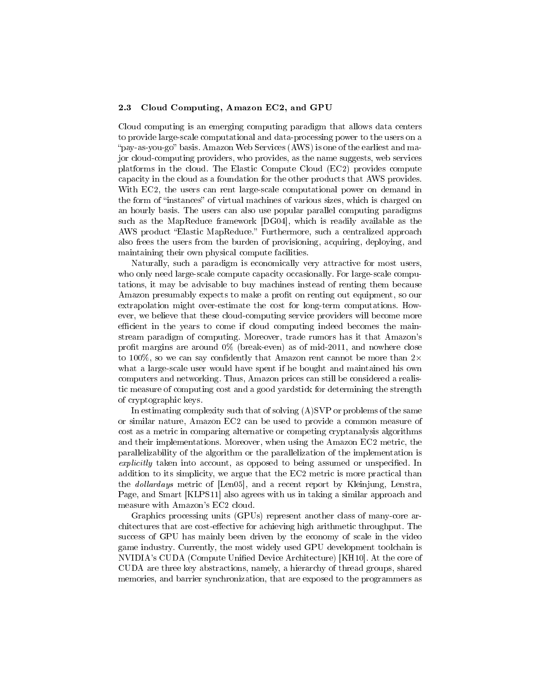#### 2.3 Cloud Computing, Amazon EC2, and GPU

Cloud computing is an emerging computing paradigm that allows data centers to provide large-scale computational and data-processing power to the users on a "pay-as-you-go" basis. Amazon Web Services (AWS) is one of the earliest and major cloud-computing providers, who provides, as the name suggests, web services platforms in the cloud. The Elastic Compute Cloud (EC2) provides compute capacity in the cloud as a foundation for the other products that AWS provides. With EC2, the users can rent large-scale computational power on demand in the form of "instances" of virtual machines of various sizes, which is charged on an hourly basis. The users can also use popular parallel computing paradigms such as the MapReduce framework [DG04], which is readily available as the AWS product "Elastic MapReduce." Furthermore, such a centralized approach also frees the users from the burden of provisioning, acquiring, deploying, and maintaining their own physical compute facilities.

Naturally, such a paradigm is economically very attractive for most users, who only need large-scale compute capacity occasionally. For large-scale computations, it may be advisable to buy machines instead of renting them because Amazon presumably expects to make a profit on renting out equipment, so our extrapolation might over-estimate the cost for long-term computations. However, we believe that these cloud-computing service providers will become more efficient in the years to come if cloud computing indeed becomes the mainstream paradigm of computing. Moreover, trade rumors has it that Amazon's profit margins are around  $0\%$  (break-even) as of mid-2011, and nowhere close to 100%, so we can say confidently that Amazon rent cannot be more than  $2\times$ what a large-scale user would have spent if he bought and maintained his own computers and networking. Thus, Amazon prices can still be considered a realistic measure of computing cost and a good yardstick for determining the strength of cryptographic keys.

In estimating complexity such that of solving  $(A)$ SVP or problems of the same or similar nature, Amazon EC2 can be used to provide a common measure of cost as a metric in comparing alternative or competing cryptanalysis algorithms and their implementations. Moreover, when using the Amazon EC2 metric, the parallelizability of the algorithm or the parallelization of the implementation is  $explicitly$  taken into account, as opposed to being assumed or unspecified. In addition to its simplicity, we argue that the EC2 metric is more practical than the dollardays metric of [Len05], and a recent report by Kleinjung, Lenstra, Page, and Smart [KLPS11] also agrees with us in taking a similar approach and measure with Amazon's EC2 cloud.

Graphics processing units (GPUs) represent another class of many-core architectures that are cost-effective for achieving high arithmetic throughput. The success of GPU has mainly been driven by the economy of scale in the video game industry. Currently, the most widely used GPU development toolchain is NVIDIA's CUDA (Compute Unified Device Architecture) [KH10]. At the core of CUDA are three key abstractions, namely, a hierarchy of thread groups, shared memories, and barrier synchronization, that are exposed to the programmers as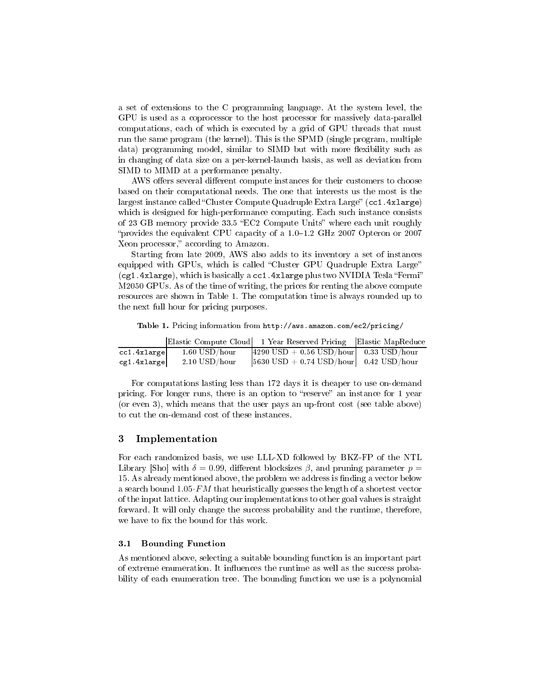a set of extensions to the C programming language. At the system level, the GPU is used as a coprocessor to the host processor for massively data-parallel computations, each of which is executed by a grid of GPU threads that must run the same program (the kernel). This is the SPMD (single program, multiple data) programming model, similar to SIMD but with more flexibility such as in changing of data size on a per-kernel-launch basis, as well as deviation from SIMD to MIMD at a performance penalty.

AWS offers several different compute instances for their customers to choose based on their computational needs. The one that interests us the most is the largest instance called "Cluster Compute Quadruple Extra Large" (cc1.4xlarge) which is designed for high-performance computing. Each such instance consists of 23 GB memory provide 33.5 "EC2 Compute Units" where each unit roughly "provides the equivalent CPU capacity of a  $1.0-1.2$  GHz 2007 Opteron or 2007 Xeon processor," according to Amazon.

Starting from late 2009, AWS also adds to its inventory a set of instances equipped with GPUs, which is called "Cluster GPU Quadruple Extra Large" (cg1.4xlarge), which is basically a cc1.4xlarge plus two NVIDIA Tesla "Fermi" M2050 GPUs. As of the time of writing, the prices for renting the above compute resources are shown in Table 1. The computation time is always rounded up to the next full hour for pricing purposes.

Table 1. Pricing information from http://aws.amazon.com/ec2/pricing/

|             |                 | Elastic Compute Cloud 1 Year Reserved Pricing Elastic MapReduce      |  |
|-------------|-----------------|----------------------------------------------------------------------|--|
| cc1.4xlarge | $1.60$ USD/hour | $\vert 4290 \text{ USD} + 0.56 \text{ USD/hour} \vert$ 0.33 USD/hour |  |
| cg1.4xlarge | $2.10$ USD/hour | $ 5630 \text{ USD} + 0.74 \text{ USD/hour} $ 0.42 USD/hour           |  |

For computations lasting less than 172 days it is cheaper to use on-demand pricing. For longer runs, there is an option to "reserve" an instance for 1 year (or even 3), which means that the user pays an up-front cost (see table above) to cut the on-demand cost of these instances.

### 3 Implementation

For each randomized basis, we use LLL-XD followed by BKZ-FP of the NTL Library [Sho] with  $\delta = 0.99$ , different blocksizes  $\beta$ , and pruning parameter  $p =$ 15. As already mentioned above, the problem we address is finding a vector below a search bound  $1.05 \cdot FM$  that heuristically guesses the length of a shortest vector of the input lattice. Adapting our implementations to other goal values is straight forward. It will only change the success probability and the runtime, therefore, we have to fix the bound for this work.

#### 3.1 Bounding Function

As mentioned above, selecting a suitable bounding function is an important part of extreme enumeration. It influences the runtime as well as the success probability of each enumeration tree. The bounding function we use is a polynomial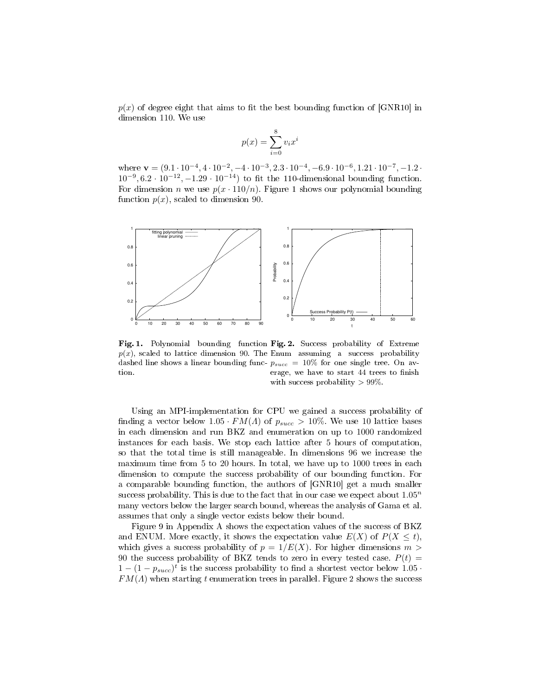$p(x)$  of degree eight that aims to fit the best bounding function of [GNR10] in dimension 110. We use

$$
p(x) = \sum_{i=0}^{8} v_i x^i
$$

where  $\mathbf{v} = (9.1 \cdot 10^{-4}, 4 \cdot 10^{-2}, -4 \cdot 10^{-3}, 2.3 \cdot 10^{-4}, -6.9 \cdot 10^{-6}, 1.21 \cdot 10^{-7}, -1.2 \cdot$  $10^{-9}, 6.2 \cdot 10^{-12}, -1.29 \cdot 10^{-14}$  to fit the 110-dimensional bounding function. For dimension *n* we use  $p(x \cdot 110/n)$ . Figure 1 shows our polynomial bounding function  $p(x)$ , scaled to dimension 90.



Fig. 1. Polynomial bounding function Fig. 2. Success probability of Extreme  $p(x)$ , scaled to lattice dimension 90. The Enum assuming a success probability dashed line shows a linear bounding func-  $p_{succ} = 10\%$  for one single tree. On avtion.

erage, we have to start 44 trees to finish with success probability  $> 99\%$ .

Using an MPI-implementation for CPU we gained a success probability of finding a vector below  $1.05 \cdot FM(\Lambda)$  of  $p_{succ} > 10\%$ . We use 10 lattice bases in each dimension and run BKZ and enumeration on up to 1000 randomized instances for each basis. We stop each lattice after 5 hours of computation, so that the total time is still manageable. In dimensions 96 we increase the maximum time from 5 to 20 hours. In total, we have up to 1000 trees in each dimension to compute the success probability of our bounding function. For a comparable bounding function, the authors of [GNR10] get a much smaller success probability. This is due to the fact that in our case we expect about  $1.05<sup>n</sup>$ many vectors below the larger search bound, whereas the analysis of Gama et al. assumes that only a single vector exists below their bound.

Figure 9 in Appendix A shows the expectation values of the success of BKZ and ENUM. More exactly, it shows the expectation value  $E(X)$  of  $P(X \leq t)$ , which gives a success probability of  $p = 1/E(X)$ . For higher dimensions  $m >$ 90 the success probability of BKZ tends to zero in every tested case.  $P(t)$  =  $1 - (1 - p_{succ})^t$  is the success probability to find a shortest vector below 1.05 ·  $FM(\Lambda)$  when starting t enumeration trees in parallel. Figure 2 shows the success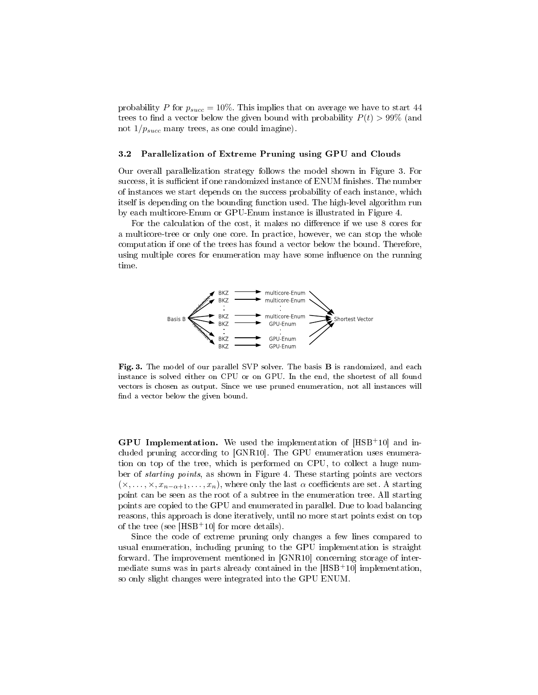probability P for  $p_{succ} = 10\%$ . This implies that on average we have to start 44 trees to find a vector below the given bound with probability  $P(t) > 99\%$  (and not  $1/p_{succ}$  many trees, as one could imagine).

#### 3.2 Parallelization of Extreme Pruning using GPU and Clouds

Our overall parallelization strategy follows the model shown in Figure 3. For success, it is sufficient if one randomized instance of ENUM finishes. The number of instances we start depends on the success probability of each instance, which itself is depending on the bounding function used. The high-level algorithm run by each multicore-Enum or GPU-Enum instance is illustrated in Figure 4.

For the calculation of the cost, it makes no difference if we use 8 cores for a multicore-tree or only one core. In practice, however, we can stop the whole computation if one of the trees has found a vector below the bound. Therefore, using multiple cores for enumeration may have some influence on the running time.



Fig. 3. The model of our parallel SVP solver. The basis B is randomized, and each instance is solved either on CPU or on GPU. In the end, the shortest of all found vectors is chosen as output. Since we use pruned enumeration, not all instances will find a vector below the given bound.

**GPU Implementation.** We used the implementation of  $[HSB<sup>+</sup>10]$  and included pruning according to [GNR10]. The GPU enumeration uses enumeration on top of the tree, which is performed on CPU, to collect a huge number of starting points, as shown in Figure 4. These starting points are vectors  $(x, \ldots, x, x_{n-\alpha+1}, \ldots, x_n)$ , where only the last  $\alpha$  coefficients are set. A starting point can be seen as the root of a subtree in the enumeration tree. All starting points are copied to the GPU and enumerated in parallel. Due to load balancing reasons, this approach is done iteratively, until no more start points exist on top of the tree (see [HSB<sup>+</sup>10] for more details).

Since the code of extreme pruning only changes a few lines compared to usual enumeration, including pruning to the GPU implementation is straight forward. The improvement mentioned in [GNR10] concerning storage of intermediate sums was in parts already contained in the [HSB<sup>+</sup>10] implementation, so only slight changes were integrated into the GPU ENUM.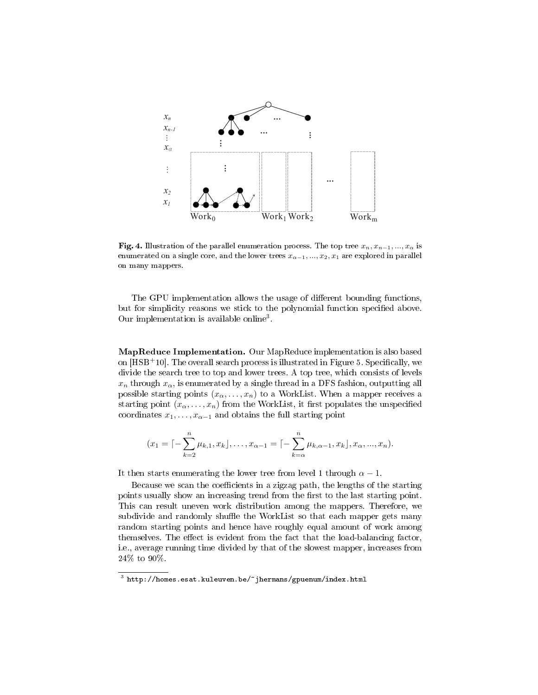

Fig. 4. Illustration of the parallel enumeration process. The top tree  $x_n, x_{n-1}, ..., x_{\alpha}$  is enumerated on a single core, and the lower trees  $x_{\alpha-1},...,x_2,x_1$  are explored in parallel on many mappers.

The GPU implementation allows the usage of different bounding functions, but for simplicity reasons we stick to the polynomial function specified above. Our implementation is available online<sup>3</sup> .

MapReduce Implementation. Our MapReduce implementation is also based on  $[{\rm HSB^+10}]$ . The overall search process is illustrated in Figure 5. Specifically, we divide the search tree to top and lower trees. A top tree, which consists of levels  $x_n$  through  $x_\alpha$ , is enumerated by a single thread in a DFS fashion, outputting all possible starting points  $(x_{\alpha},...,x_{n})$  to a WorkList. When a mapper receives a starting point  $(x_{\alpha},...,x_{n})$  from the WorkList, it first populates the unspecified coordinates  $x_1, \ldots, x_{\alpha-1}$  and obtains the full starting point

$$
(x_1 = \lceil -\sum_{k=2}^n \mu_{k,1}, x_k \rceil, \ldots, x_{\alpha-1} = \lceil -\sum_{k=\alpha}^n \mu_{k,\alpha-1}, x_k \rceil, x_\alpha, \ldots, x_n).
$$

It then starts enumerating the lower tree from level 1 through  $\alpha - 1$ .

Because we scan the coefficients in a zigzag path, the lengths of the starting points usually show an increasing trend from the first to the last starting point. This can result uneven work distribution among the mappers. Therefore, we subdivide and randomly shuffle the WorkList so that each mapper gets many random starting points and hence have roughly equal amount of work among themselves. The effect is evident from the fact that the load-balancing factor, i.e., average running time divided by that of the slowest mapper, increases from 24% to 90%.

 $^3$  http://homes.esat.kuleuven.be/~jhermans/gpuenum/index.html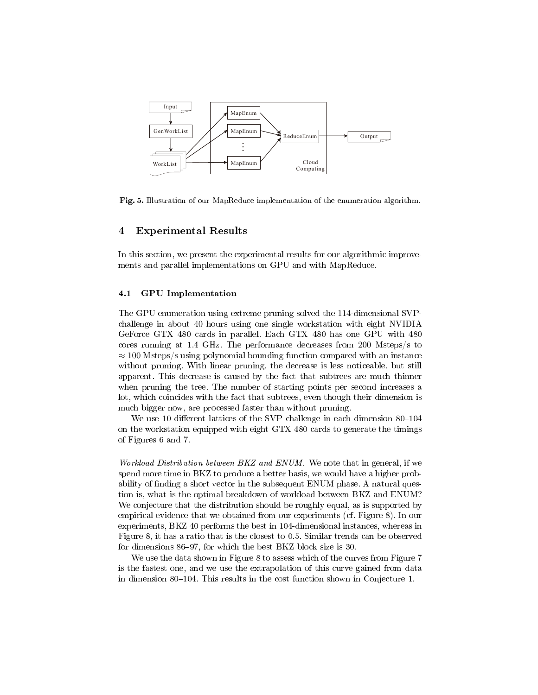

Fig. 5. Illustration of our MapReduce implementation of the enumeration algorithm.

### 4 Experimental Results

In this section, we present the experimental results for our algorithmic improvements and parallel implementations on GPU and with MapReduce.

### 4.1 GPU Implementation

The GPU enumeration using extreme pruning solved the 114-dimensional SVPchallenge in about 40 hours using one single workstation with eight NVIDIA GeForce GTX 480 cards in parallel. Each GTX 480 has one GPU with 480 cores running at 1.4 GHz. The performance decreases from 200 Msteps/s to  $\approx$  100 Msteps/s using polynomial bounding function compared with an instance without pruning. With linear pruning, the decrease is less noticeable, but still apparent. This decrease is caused by the fact that subtrees are much thinner when pruning the tree. The number of starting points per second increases a lot, which coincides with the fact that subtrees, even though their dimension is much bigger now, are processed faster than without pruning.

We use 10 different lattices of the SVP challenge in each dimension  $80-104$ on the workstation equipped with eight GTX 480 cards to generate the timings of Figures 6 and 7.

Workload Distribution between BKZ and ENUM. We note that in general, if we spend more time in BKZ to produce a better basis, we would have a higher probability of finding a short vector in the subsequent ENUM phase. A natural question is, what is the optimal breakdown of workload between BKZ and ENUM? We conjecture that the distribution should be roughly equal, as is supported by empirical evidence that we obtained from our experiments (cf. Figure 8). In our experiments, BKZ 40 performs the best in 104-dimensional instances, whereas in Figure 8, it has a ratio that is the closest to 0.5. Similar trends can be observed for dimensions  $86-97$ , for which the best BKZ block size is 30.

We use the data shown in Figure 8 to assess which of the curves from Figure 7 is the fastest one, and we use the extrapolation of this curve gained from data in dimension 80–104. This results in the cost function shown in Conjecture 1.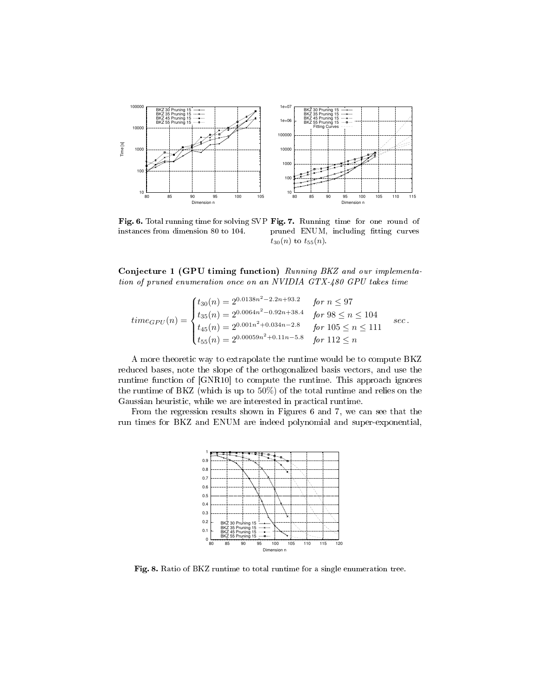

instances from dimension 80 to 104.

Fig. 6. Total running time for solving SVP Fig. 7. Running time for one round of pruned ENUM, including fitting curves  $t_{30}(n)$  to  $t_{55}(n)$ .

Conjecture 1 (GPU timing function) Running BKZ and our implementation of pruned enumeration once on an NVIDIA GTX-480 GPU takes time

$$
time_{GPU}(n) = \begin{cases} t_{30}(n) = 2^{0.0138n^2 - 2.2n + 93.2} & \text{for } n \le 97\\ t_{35}(n) = 2^{0.0064n^2 - 0.92n + 38.4} & \text{for } 98 \le n \le 104\\ t_{45}(n) = 2^{0.001n^2 + 0.034n - 2.8} & \text{for } 105 \le n \le 111\\ t_{55}(n) = 2^{0.00059n^2 + 0.11n - 5.8} & \text{for } 112 \le n \end{cases} \text{ sec.}
$$

A more theoretic way to extrapolate the runtime would be to compute BKZ reduced bases, note the slope of the orthogonalized basis vectors, and use the runtime function of [GNR10] to compute the runtime. This approach ignores the runtime of BKZ (which is up to 50%) of the total runtime and relies on the Gaussian heuristic, while we are interested in practical runtime.

From the regression results shown in Figures 6 and 7, we can see that the run times for BKZ and ENUM are indeed polynomial and super-exponential,



Fig. 8. Ratio of BKZ runtime to total runtime for a single enumeration tree.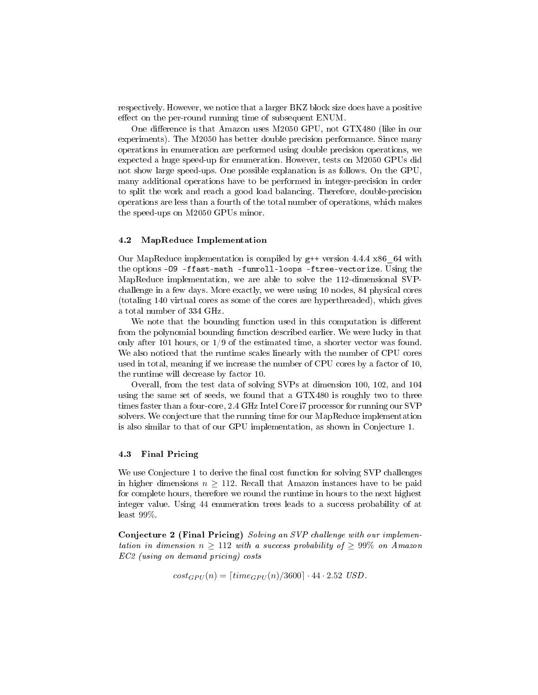respectively. However, we notice that a larger BKZ block size does have a positive effect on the per-round running time of subsequent ENUM.

One difference is that Amazon uses M2050 GPU, not  $GTX480$  (like in our experiments). The M2050 has better double precision performance. Since many operations in enumeration are performed using double precision operations, we expected a huge speed-up for enumeration. However, tests on M2050 GPUs did not show large speed-ups. One possible explanation is as follows. On the GPU, many additional operations have to be performed in integer-precision in order to split the work and reach a good load balancing. Therefore, double-precision operations are less than a fourth of the total number of operations, which makes the speed-ups on M2050 GPUs minor.

#### 4.2 MapReduce Implementation

Our MapReduce implementation is compiled by g++ version 4.4.4 x86\_64 with the options -O9 -ffast-math -funroll-loops -ftree-vectorize. Using the MapReduce implementation, we are able to solve the 112-dimensional SVPchallenge in a few days. More exactly, we were using 10 nodes, 84 physical cores (totaling 140 virtual cores as some of the cores are hyperthreaded), which gives a total number of 334 GHz.

We note that the bounding function used in this computation is different from the polynomial bounding function described earlier. We were lucky in that only after 101 hours, or  $1/9$  of the estimated time, a shorter vector was found. We also noticed that the runtime scales linearly with the number of CPU cores used in total, meaning if we increase the number of CPU cores by a factor of 10, the runtime will decrease by factor 10.

Overall, from the test data of solving SVPs at dimension 100, 102, and 104 using the same set of seeds, we found that a GTX480 is roughly two to three times faster than a four-core, 2.4 GHz Intel Core i7 processor for running our SVP solvers. We conjecture that the running time for our MapReduce implementation is also similar to that of our GPU implementation, as shown in Conjecture 1.

### 4.3 Final Pricing

We use Conjecture 1 to derive the final cost function for solving SVP challenges in higher dimensions  $n \geq 112$ . Recall that Amazon instances have to be paid for complete hours, therefore we round the runtime in hours to the next highest integer value. Using 44 enumeration trees leads to a success probability of at least 99%.

Conjecture 2 (Final Pricing) Solving an SVP challenge with our implementation in dimension  $n \geq 112$  with a success probability of  $\geq 99\%$  on Amazon EC2 (using on demand pricing) costs

$$
cost_{GPU}(n) = [time_{GPU}(n)/3600] \cdot 44 \cdot 2.52 \text{ USD}.
$$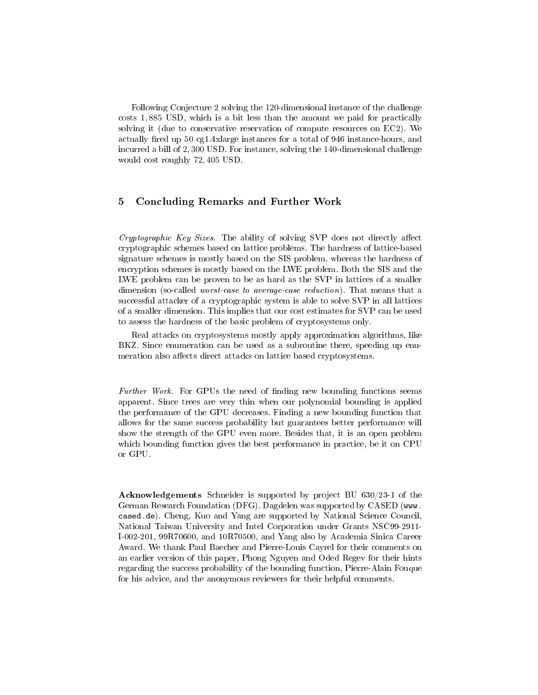Following Conjecture 2 solving the 120-dimensional instance of the challenge costs 1, 885 USD, which is a bit less than the amount we paid for practically solving it (due to conservative reservation of compute resources on EC2). We actually fired up 50 cg1.4xlarge instances for a total of 946 instance-hours, and incurred a bill of 2, 300 USD. For instance, solving the 140-dimensional challenge would cost roughly 72, 405 USD.

# 5 Concluding Remarks and Further Work

Cryptographic Key Sizes. The ability of solving SVP does not directly affect cryptographic schemes based on lattice problems. The hardness of lattice-based signature schemes is mostly based on the SIS problem, whereas the hardness of encryption schemes is mostly based on the LWE problem. Both the SIS and the LWE problem can be proven to be as hard as the SVP in lattices of a smaller dimension (so-called *worst-case to average-case reduction*). That means that a successful attacker of a cryptographic system is able to solve SVP in all lattices of a smaller dimension. This implies that our cost estimates for SVP can be used to assess the hardness of the basic problem of cryptosystems only.

Real attacks on cryptosystems mostly apply approximation algorithms, like BKZ. Since enumeration can be used as a subroutine there, speeding up enumeration also affects direct attacks on lattice based cryptosystems.

Further Work. For GPUs the need of finding new bounding functions seems apparent. Since trees are very thin when our polynomial bounding is applied the performance of the GPU decreases. Finding a new bounding function that allows for the same success probability but guarantees better performance will show the strength of the GPU even more. Besides that, it is an open problem which bounding function gives the best performance in practice, be it on CPU or GPU.

Acknowledgements Schneider is supported by project BU 630/23-1 of the German Research Foundation (DFG). Dagdelen was supported by CASED (www. cased.de). Cheng, Kuo and Yang are supported by National Science Council, National Taiwan University and Intel Corporation under Grants NSC99-2911- I-002-201, 99R70600, and 10R70500, and Yang also by Academia Sinica Career Award. We thank Paul Baecher and Pierre-Louis Cayrel for their comments on an earlier version of this paper, Phong Nguyen and Oded Regev for their hints regarding the success probability of the bounding function, Pierre-Alain Fouque for his advice, and the anonymous reviewers for their helpful comments.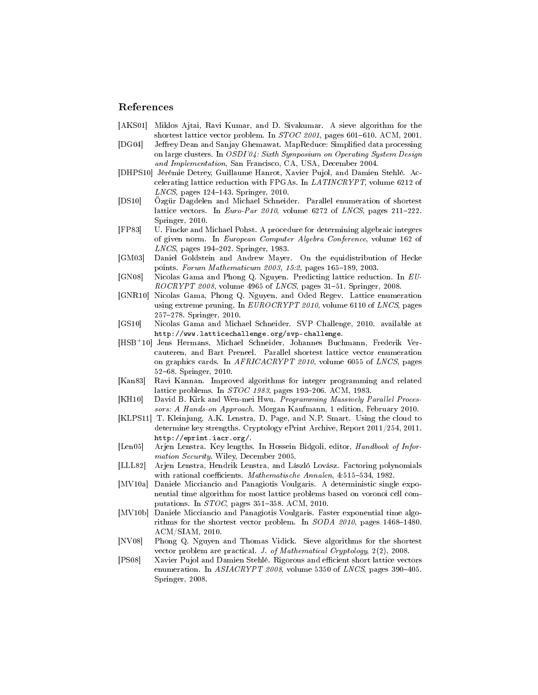## References

- [AKS01] Miklos Ajtai, Ravi Kumar, and D. Sivakumar. A sieve algorithm for the shortest lattice vector problem. In  $STOC$  2001, pages 601-610. ACM, 2001.
- [DG04] Jeffrey Dean and Sanjay Ghemawat. MapReduce: Simplified data processing on large clusters. In OSDI'04: Sixth Symposium on Operating System Design and Implementation, San Francisco, CA, USA, December 2004.
- [DHPS10] Jérémie Detrey, Guillaume Hanrot, Xavier Pujol, and Damien Stehlé. Accelerating lattice reduction with FPGAs. In LATINCRYPT, volume 6212 of  $LNCS$ , pages 124-143. Springer, 2010.
- [DS10] Özgür Dagdelen and Michael Schneider. Parallel enumeration of shortest lattice vectors. In Euro-Par 2010, volume 6272 of LNCS, pages  $211-222$ . Springer, 2010.
- [FP83] U. Fincke and Michael Pohst. A procedure for determining algebraic integers of given norm. In European Computer Algebra Conference, volume 162 of LNCS, pages 194-202. Springer, 1983.
- [GM03] Daniel Goldstein and Andrew Mayer. On the equidistribution of Hecke points. Forum Mathematicum 2003, 15:2, pages 165-189, 2003.
- [GN08] Nicolas Gama and Phong Q. Nguyen. Predicting lattice reduction. In EU- $ROCRYPT 2008$ , volume 4965 of *LNCS*, pages 31-51. Springer, 2008.
- [GNR10] Nicolas Gama, Phong Q. Nguyen, and Oded Regev. Lattice enumeration using extreme pruning. In EUROCRYPT 2010, volume 6110 of LNCS, pages 257278. Springer, 2010.
- [GS10] Nicolas Gama and Michael Schneider. SVP Challenge, 2010. available at http://www.latticechallenge.org/svp-challenge.
- [HSB<sup>+</sup>10] Jens Hermans, Michael Schneider, Johannes Buchmann, Frederik Vercauteren, and Bart Preneel. Parallel shortest lattice vector enumeration on graphics cards. In AFRICACRYPT 2010, volume 6055 of LNCS, pages 5268. Springer, 2010.
- [Kan83] Ravi Kannan. Improved algorithms for integer programming and related lattice problems. In *STOC 1983*, pages 193-206. ACM, 1983.
- [KH10] David B. Kirk and Wen-mei Hwu. Programming Massively Parallel Processors: A Hands-on Approach. Morgan Kaufmann, 1 edition, February 2010.
- [KLPS11] T. Kleinjung, A.K. Lenstra, D. Page, and N.P. Smart. Using the cloud to determine key strengths. Cryptology ePrint Archive, Report 2011/254, 2011. http://eprint.iacr.org/.
- [Len05] Arjen Lenstra. Key lengths. In Hossein Bidgoli, editor, Handbook of Information Security. Wiley, December 2005.
- [LLL82] Arjen Lenstra, Hendrik Lenstra, and László Lovász. Factoring polynomials with rational coefficients. *Mathematische Annalen*,  $4:515-534$ , 1982.
- [MV10a] Daniele Micciancio and Panagiotis Voulgaris. A deterministic single exponential time algorithm for most lattice problems based on voronoi cell computations. In  $STOC$ , pages 351-358. ACM, 2010.
- [MV10b] Daniele Micciancio and Panagiotis Voulgaris. Faster exponential time algorithms for the shortest vector problem. In  $SODA 2010$ , pages 1468-1480. ACM/SIAM, 2010.
- [NV08] Phong Q. Nguyen and Thomas Vidick. Sieve algorithms for the shortest vector problem are practical. J. of Mathematical Cryptology, 2(2), 2008.
- [PS08] Xavier Pujol and Damien Stehlé. Rigorous and efficient short lattice vectors enumeration. In  $ASIACRYPT$  2008, volume 5350 of LNCS, pages 390-405. Springer, 2008.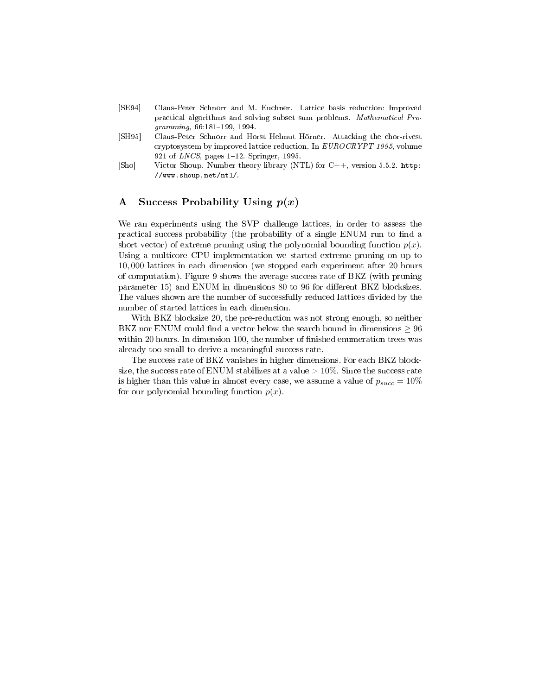- [SE94] Claus-Peter Schnorr and M. Euchner. Lattice basis reduction: Improved practical algorithms and solving subset sum problems. Mathematical Pro $gramming, 66:181-199, 1994.$
- [SH95] Claus-Peter Schnorr and Horst Helmut Hörner. Attacking the chor-rivest cryptosystem by improved lattice reduction. In EUROCRYPT 1995, volume 921 of  $LNCS$ , pages 1-12. Springer, 1995.
- [Sho] Victor Shoup. Number theory library (NTL) for C++, version 5.5.2. http: //www.shoup.net/ntl/.

# A Success Probability Using  $p(x)$

We ran experiments using the SVP challenge lattices, in order to assess the practical success probability (the probability of a single ENUM run to find a short vector) of extreme pruning using the polynomial bounding function  $p(x)$ . Using a multicore CPU implementation we started extreme pruning on up to 10, 000 lattices in each dimension (we stopped each experiment after 20 hours of computation). Figure 9 shows the average success rate of BKZ (with pruning parameter 15) and ENUM in dimensions 80 to 96 for different BKZ blocksizes. The values shown are the number of successfully reduced lattices divided by the number of started lattices in each dimension.

With BKZ blocksize 20, the pre-reduction was not strong enough, so neither BKZ nor ENUM could find a vector below the search bound in dimensions  $> 96$ within 20 hours. In dimension 100, the number of finished enumeration trees was already too small to derive a meaningful success rate.

The success rate of BKZ vanishes in higher dimensions. For each BKZ blocksize, the success rate of ENUM stabilizes at a value  $>10\%$ . Since the success rate is higher than this value in almost every case, we assume a value of  $p_{succ} = 10\%$ for our polynomial bounding function  $p(x)$ .